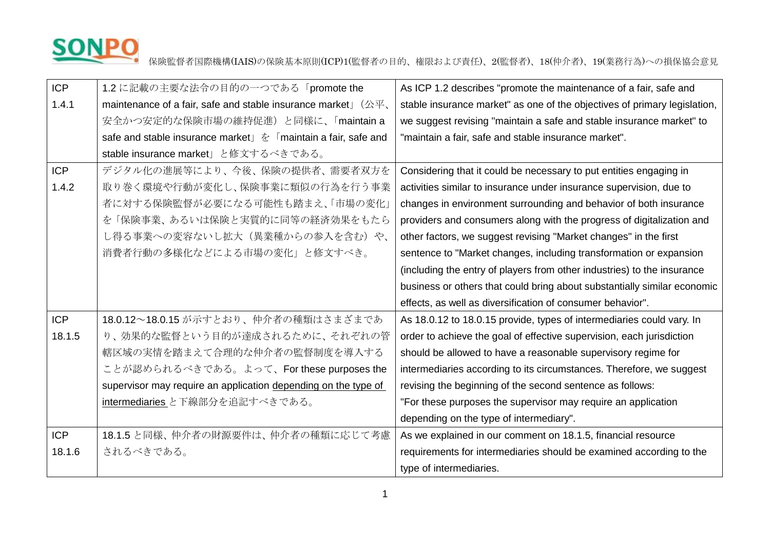

保険監督者国際機構(IAIS)の保険基本原則(ICP)1(監督者の目的、権限および責任)、2(監督者)、18(仲介者)、19(業務行為)への損保協会意見

| <b>ICP</b> | 1.2 に記載の主要な法令の目的の一つである「promote the                                                                    | As ICP 1.2 describes "promote the maintenance of a fair, safe and         |
|------------|-------------------------------------------------------------------------------------------------------|---------------------------------------------------------------------------|
| 1.4.1      | maintenance of a fair, safe and stable insurance market $\Box$ $(\triangle \overline{\mathcal{F}})$ , | stable insurance market" as one of the objectives of primary legislation, |
|            | 安全かつ安定的な保険市場の維持促進)と同様に、「maintain a                                                                    | we suggest revising "maintain a safe and stable insurance market" to      |
|            | safe and stable insurance market」を「maintain a fair, safe and                                          | "maintain a fair, safe and stable insurance market".                      |
|            | stable insurance market」と修文するべきである。                                                                   |                                                                           |
| <b>ICP</b> | デジタル化の進展等により、今後、保険の提供者、需要者双方を                                                                         | Considering that it could be necessary to put entities engaging in        |
| 1.4.2      | 取り巻く環境や行動が変化し、保険事業に類似の行為を行う事業                                                                         | activities similar to insurance under insurance supervision, due to       |
|            | 者に対する保険監督が必要になる可能性も踏まえ、「市場の変化」                                                                        | changes in environment surrounding and behavior of both insurance         |
|            | を「保険事業、あるいは保険と実質的に同等の経済効果をもたら                                                                         | providers and consumers along with the progress of digitalization and     |
|            | し得る事業への変容ないし拡大(異業種からの参入を含む)や、                                                                         | other factors, we suggest revising "Market changes" in the first          |
|            | 消費者行動の多様化などによる市場の変化」と修文すべき。                                                                           | sentence to "Market changes, including transformation or expansion        |
|            |                                                                                                       | (including the entry of players from other industries) to the insurance   |
|            |                                                                                                       | business or others that could bring about substantially similar economic  |
|            |                                                                                                       | effects, as well as diversification of consumer behavior".                |
| <b>ICP</b> | 18.0.12~18.0.15 が示すとおり、仲介者の種類はさまざまであ                                                                  | As 18.0.12 to 18.0.15 provide, types of intermediaries could vary. In     |
| 18.1.5     | り、効果的な監督という目的が達成されるために、それぞれの管                                                                         | order to achieve the goal of effective supervision, each jurisdiction     |
|            | 轄区域の実情を踏まえて合理的な仲介者の監督制度を導入する                                                                          | should be allowed to have a reasonable supervisory regime for             |
|            | ことが認められるべきである。よって、For these purposes the                                                              | intermediaries according to its circumstances. Therefore, we suggest      |
|            | supervisor may require an application depending on the type of                                        | revising the beginning of the second sentence as follows:                 |
|            | <u>intermediaries</u> と下線部分を追記すべきである。                                                                 | "For these purposes the supervisor may require an application             |
|            |                                                                                                       | depending on the type of intermediary".                                   |
| <b>ICP</b> | 18.1.5 と同様、仲介者の財源要件は、仲介者の種類に応じて考慮                                                                     | As we explained in our comment on 18.1.5, financial resource              |
| 18.1.6     | されるべきである。                                                                                             | requirements for intermediaries should be examined according to the       |
|            |                                                                                                       | type of intermediaries.                                                   |